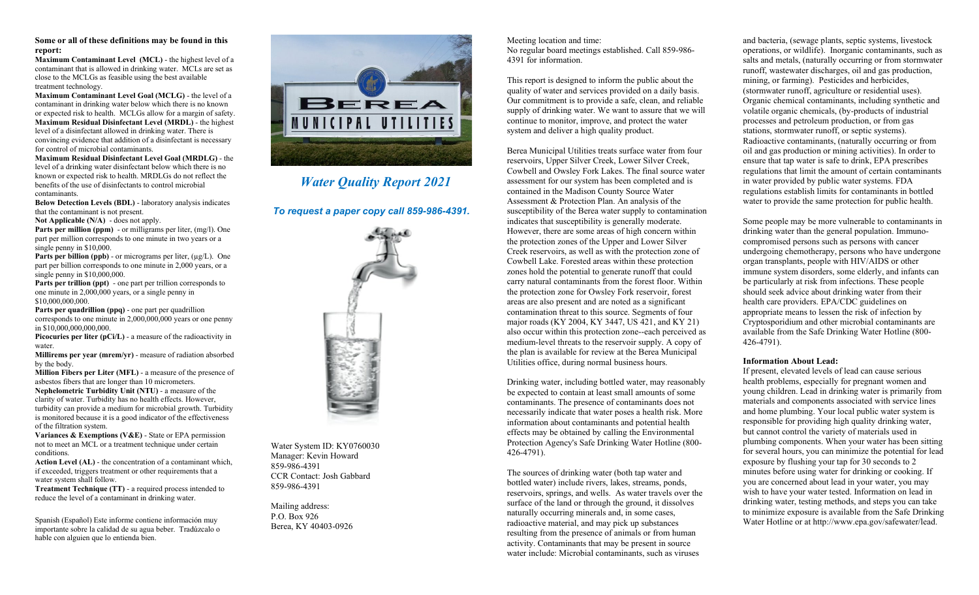## **Some or all of these definitions may be found in this report:**

**Maximum Contaminant Level (MCL)** - the highest level of a contaminant that is allowed in drinking water. MCLs are set as close to the MCLGs as feasible using the best available treatment technology.

**Maximum Contaminant Level Goal (MCLG)** - the level of a contaminant in drinking water below which there is no known or expected risk to health. MCLGs allow for a margin of safety. **Maximum Residual Disinfectant Level (MRDL)** - the highest level of a disinfectant allowed in drinking water. There is convincing evidence that addition of a disinfectant is necessary for control of microbial contaminants.

**Maximum Residual Disinfectant Level Goal (MRDLG)** - the level of a drinking water disinfectant below which there is no known or expected risk to health. MRDLGs do not reflect the benefits of the use of disinfectants to control microbial contaminants.

**Below Detection Levels (BDL)** - laboratory analysis indicates that the contaminant is not present.

**Not Applicable (N/A)** - does not apply.

**Parts per million (ppm)** - or milligrams per liter, (mg/l). One part per million corresponds to one minute in two years or a single penny in \$10,000.

Parts per billion (ppb) - or micrograms per liter, (µg/L). One part per billion corresponds to one minute in 2,000 years, or a single penny in \$10,000,000.

**Parts per trillion (ppt)** - one part per trillion corresponds to one minute in 2,000,000 years, or a single penny in \$10,000,000,000.

**Parts per quadrillion (ppq)** - one part per quadrillion corresponds to one minute in 2,000,000,000 years or one penny in \$10,000,000,000,000.

**Picocuries per liter (pCi/L)** - a measure of the radioactivity in water.

**Millirems per year (mrem/yr)** - measure of radiation absorbed by the body.

**Million Fibers per Liter (MFL)** - a measure of the presence of asbestos fibers that are longer than 10 micrometers. **Nephelometric Turbidity Unit (NTU)** - a measure of the clarity of water. Turbidity has no health effects. However, turbidity can provide a medium for microbial growth. Turbidity is monitored because it is a good indicator of the effectiveness

of the filtration system. **Variances & Exemptions (V&E)** - State or EPA permission

not to meet an MCL or a treatment technique under certain conditions.

**Action Level (AL)** - the concentration of a contaminant which, if exceeded, triggers treatment or other requirements that a water system shall follow.

**Treatment Technique (TT)** - a required process intended to reduce the level of a contaminant in drinking water.

Spanish (Español) Este informe contiene información muy importante sobre la calidad de su agua beber. Tradúzcalo o hable con alguien que lo entienda bien.



## *Water Quality Report 2021*

*To request a paper copy call 859-986-4391.*



Water System ID: KY0760030 Manager: Kevin Howard 859-986-4391 CCR Contact: Josh Gabbard 859-986-4391

Mailing address: P.O. Box 926 Berea, KY 40403-0926 Meeting location and time: No regular board meetings established. Call 859-986- 4391 for information.

This report is designed to inform the public about the quality of water and services provided on a daily basis. Our commitment is to provide a safe, clean, and reliable supply of drinking water. We want to assure that we will continue to monitor, improve, and protect the water system and deliver a high quality product.

Berea Municipal Utilities treats surface water from four reservoirs, Upper Silver Creek, Lower Silver Creek, Cowbell and Owsley Fork Lakes. The final source water assessment for our system has been completed and is contained in the Madison County Source Water Assessment & Protection Plan. An analysis of the susceptibility of the Berea water supply to contamination indicates that susceptibility is generally moderate. However, there are some areas of high concern within the protection zones of the Upper and Lower Silver Creek reservoirs, as well as with the protection zone of Cowbell Lake. Forested areas within these protection zones hold the potential to generate runoff that could carry natural contaminants from the forest floor. Within the protection zone for Owsley Fork reservoir, forest areas are also present and are noted as a significant contamination threat to this source. Segments of four major roads (KY 2004, KY 3447, US 421, and KY 21) also occur within this protection zone--each perceived as medium-level threats to the reservoir supply. A copy of the plan is available for review at the Berea Municipal Utilities office, during normal business hours.

Drinking water, including bottled water, may reasonably be expected to contain at least small amounts of some contaminants. The presence of contaminants does not necessarily indicate that water poses a health risk. More information about contaminants and potential health effects may be obtained by calling the Environmental Protection Agency's Safe Drinking Water Hotline (800- 426-4791).

The sources of drinking water (both tap water and bottled water) include rivers, lakes, streams, ponds, reservoirs, springs, and wells. As water travels over the surface of the land or through the ground, it dissolves naturally occurring minerals and, in some cases, radioactive material, and may pick up substances resulting from the presence of animals or from human activity. Contaminants that may be present in source water include: Microbial contaminants, such as viruses

and bacteria, (sewage plants, septic systems, livestock operations, or wildlife). Inorganic contaminants, such as salts and metals, (naturally occurring or from stormwater runoff, wastewater discharges, oil and gas production, mining, or farming). Pesticides and herbicides, (stormwater runoff, agriculture or residential uses). Organic chemical contaminants, including synthetic and volatile organic chemicals, (by-products of industrial processes and petroleum production, or from gas stations, stormwater runoff, or septic systems). Radioactive contaminants, (naturally occurring or from oil and gas production or mining activities). In order to ensure that tap water is safe to drink, EPA prescribes regulations that limit the amount of certain contaminants in water provided by public water systems. FDA regulations establish limits for contaminants in bottled water to provide the same protection for public health.

Some people may be more vulnerable to contaminants in drinking water than the general population. Immunocompromised persons such as persons with cancer undergoing chemotherapy, persons who have undergone organ transplants, people with HIV/AIDS or other immune system disorders, some elderly, and infants can be particularly at risk from infections. These people should seek advice about drinking water from their health care providers. EPA/CDC guidelines on appropriate means to lessen the risk of infection by Cryptosporidium and other microbial contaminants are available from the Safe Drinking Water Hotline (800- 426-4791).

## **Information About Lead:**

If present, elevated levels of lead can cause serious health problems, especially for pregnant women and young children. Lead in drinking water is primarily from materials and components associated with service lines and home plumbing. Your local public water system is responsible for providing high quality drinking water, but cannot control the variety of materials used in plumbing components. When your water has been sitting for several hours, you can minimize the potential for lead exposure by flushing your tap for 30 seconds to 2 minutes before using water for drinking or cooking. If you are concerned about lead in your water, you may wish to have your water tested. Information on lead in drinking water, testing methods, and steps you can take to minimize exposure is available from the Safe Drinking Water Hotline or at http://www.epa.gov/safewater/lead.